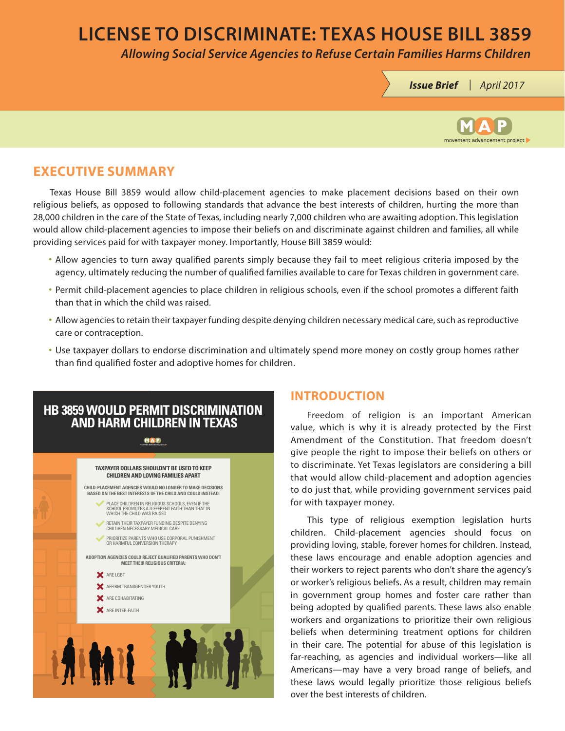# **LICENSE TO DISCRIMINATE: TEXAS HOUSE BILL 3859**

*Allowing Social Service Agencies to Refuse Certain Families Harms Children*





### **EXECUTIVE SUMMARY**

Texas House Bill 3859 would allow child-placement agencies to make placement decisions based on their own religious beliefs, as opposed to following standards that advance the best interests of children, hurting the more than 28,000 children in the care of the State of Texas, including nearly 7,000 children who are awaiting adoption. This legislation would allow child-placement agencies to impose their beliefs on and discriminate against children and families, all while providing services paid for with taxpayer money. Importantly, House Bill 3859 would:

- Allow agencies to turn away qualified parents simply because they fail to meet religious criteria imposed by the agency, ultimately reducing the number of qualified families available to care for Texas children in government care.
- Permit child-placement agencies to place children in religious schools, even if the school promotes a different faith than that in which the child was raised.
- Allow agencies to retain their taxpayer funding despite denying children necessary medical care, such as reproductive care or contraception.
- Use taxpayer dollars to endorse discrimination and ultimately spend more money on costly group homes rather than find qualified foster and adoptive homes for children.

## **HB 3859 WOULD PERMIT DISCRIMINATION AND HARM CHILDREN IN TEXAS**

#### **MAD**

#### **TAXPAYER DOLLARS SHOULDN'T BE USED TO KEEP CHILDREN AND LOVING FAMILIES APART**



### **INTRODUCTION**

Freedom of religion is an important American value, which is why it is already protected by the First Amendment of the Constitution. That freedom doesn't give people the right to impose their beliefs on others or to discriminate. Yet Texas legislators are considering a bill that would allow child-placement and adoption agencies to do just that, while providing government services paid for with taxpayer money.

This type of religious exemption legislation hurts children. Child-placement agencies should focus on providing loving, stable, forever homes for children. Instead, these laws encourage and enable adoption agencies and their workers to reject parents who don't share the agency's or worker's religious beliefs. As a result, children may remain in government group homes and foster care rather than being adopted by qualified parents. These laws also enable workers and organizations to prioritize their own religious beliefs when determining treatment options for children in their care. The potential for abuse of this legislation is far-reaching, as agencies and individual workers—like all Americans—may have a very broad range of beliefs, and these laws would legally prioritize those religious beliefs over the best interests of children.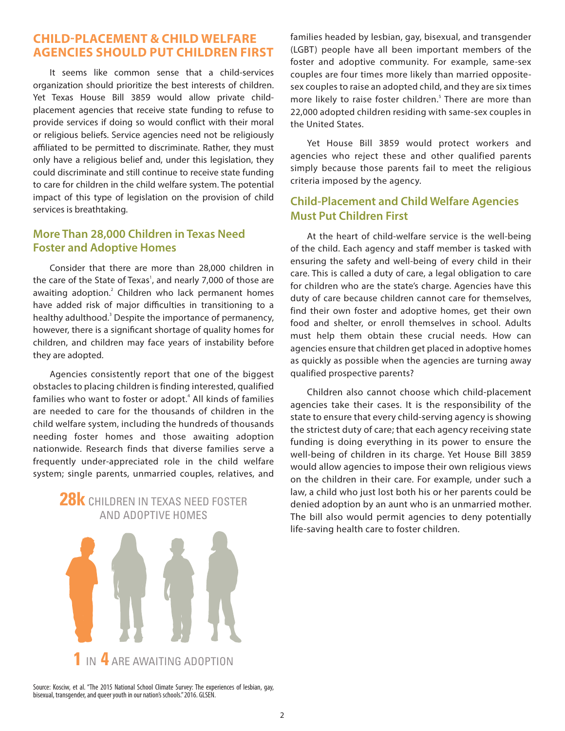### **CHILD-PLACEMENT & CHILD WELFARE AGENCIES SHOULD PUT CHILDREN FIRST**

It seems like common sense that a child-services organization should prioritize the best interests of children. Yet Texas House Bill 3859 would allow private childplacement agencies that receive state funding to refuse to provide services if doing so would conflict with their moral or religious beliefs. Service agencies need not be religiously affiliated to be permitted to discriminate. Rather, they must only have a religious belief and, under this legislation, they could discriminate and still continue to receive state funding to care for children in the child welfare system. The potential impact of this type of legislation on the provision of child services is breathtaking.

### **More Than 28,000 Children in Texas Need Foster and Adoptive Homes**

Consider that there are more than 28,000 children in the care of the State of Texas<sup>1</sup>, and nearly 7,000 of those are awaiting adoption.<sup>2</sup> Children who lack permanent homes have added risk of major difficulties in transitioning to a healthy adulthood.<sup>3</sup> Despite the importance of permanency, however, there is a significant shortage of quality homes for children, and children may face years of instability before they are adopted.

Agencies consistently report that one of the biggest obstacles to placing children is finding interested, qualified families who want to foster or adopt.<sup>4</sup> All kinds of families are needed to care for the thousands of children in the child welfare system, including the hundreds of thousands needing foster homes and those awaiting adoption nationwide. Research finds that diverse families serve a frequently under-appreciated role in the child welfare system; single parents, unmarried couples, relatives, and

## **28k** CHILDREN IN TEXAS NEED FOSTER AND ADOPTIVE HOMES

families headed by lesbian, gay, bisexual, and transgender (LGBT) people have all been important members of the foster and adoptive community. For example, same-sex couples are four times more likely than married oppositesex couples to raise an adopted child, and they are six times more likely to raise foster children.<sup>5</sup> There are more than 22,000 adopted children residing with same-sex couples in the United States.

Yet House Bill 3859 would protect workers and agencies who reject these and other qualified parents simply because those parents fail to meet the religious criteria imposed by the agency.

### **Child-Placement and Child Welfare Agencies Must Put Children First**

At the heart of child-welfare service is the well-being of the child. Each agency and staff member is tasked with ensuring the safety and well-being of every child in their care. This is called a duty of care, a legal obligation to care for children who are the state's charge. Agencies have this duty of care because children cannot care for themselves, find their own foster and adoptive homes, get their own food and shelter, or enroll themselves in school. Adults must help them obtain these crucial needs. How can agencies ensure that children get placed in adoptive homes as quickly as possible when the agencies are turning away qualified prospective parents?

Children also cannot choose which child-placement agencies take their cases. It is the responsibility of the state to ensure that every child-serving agency is showing the strictest duty of care; that each agency receiving state funding is doing everything in its power to ensure the well-being of children in its charge. Yet House Bill 3859 would allow agencies to impose their own religious views on the children in their care. For example, under such a law, a child who just lost both his or her parents could be denied adoption by an aunt who is an unmarried mother. The bill also would permit agencies to deny potentially life-saving health care to foster children.



Source: Kosciw, et al. "The 2015 National School Climate Survey: The experiences of lesbian, gay, bisexual, transgender, and queer youth in our nation's schools." 2016. GLSEN.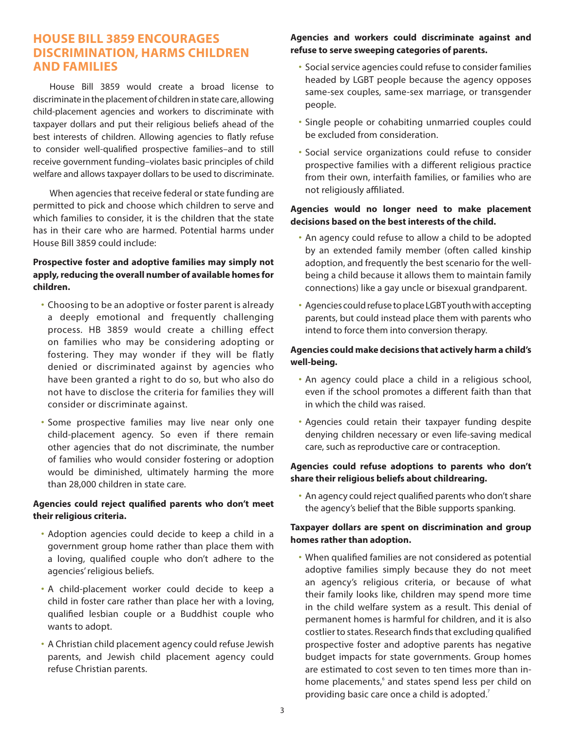### **HOUSE BILL 3859 ENCOURAGES DISCRIMINATION, HARMS CHILDREN AND FAMILIES**

House Bill 3859 would create a broad license to discriminate in the placement of children in state care, allowing child-placement agencies and workers to discriminate with taxpayer dollars and put their religious beliefs ahead of the best interests of children. Allowing agencies to flatly refuse to consider well-qualified prospective families–and to still receive government funding–violates basic principles of child welfare and allows taxpayer dollars to be used to discriminate.

When agencies that receive federal or state funding are permitted to pick and choose which children to serve and which families to consider, it is the children that the state has in their care who are harmed. Potential harms under House Bill 3859 could include:

#### **Prospective foster and adoptive families may simply not apply, reducing the overall number of available homes for children.**

- Choosing to be an adoptive or foster parent is already a deeply emotional and frequently challenging process. HB 3859 would create a chilling effect on families who may be considering adopting or fostering. They may wonder if they will be flatly denied or discriminated against by agencies who have been granted a right to do so, but who also do not have to disclose the criteria for families they will consider or discriminate against.
- Some prospective families may live near only one child-placement agency. So even if there remain other agencies that do not discriminate, the number of families who would consider fostering or adoption would be diminished, ultimately harming the more than 28,000 children in state care.

#### **Agencies could reject qualified parents who don't meet their religious criteria.**

- Adoption agencies could decide to keep a child in a government group home rather than place them with a loving, qualified couple who don't adhere to the agencies' religious beliefs.
- A child-placement worker could decide to keep a child in foster care rather than place her with a loving, qualified lesbian couple or a Buddhist couple who wants to adopt.
- A Christian child placement agency could refuse Jewish parents, and Jewish child placement agency could refuse Christian parents.

#### **Agencies and workers could discriminate against and refuse to serve sweeping categories of parents.**

- Social service agencies could refuse to consider families headed by LGBT people because the agency opposes same-sex couples, same-sex marriage, or transgender people.
- Single people or cohabiting unmarried couples could be excluded from consideration.
- Social service organizations could refuse to consider prospective families with a different religious practice from their own, interfaith families, or families who are not religiously affiliated.

#### **Agencies would no longer need to make placement decisions based on the best interests of the child.**

- An agency could refuse to allow a child to be adopted by an extended family member (often called kinship adoption, and frequently the best scenario for the wellbeing a child because it allows them to maintain family connections) like a gay uncle or bisexual grandparent.
- Agencies could refuse to place LGBT youth with accepting parents, but could instead place them with parents who intend to force them into conversion therapy.

#### **Agencies could make decisions that actively harm a child's well-being.**

- An agency could place a child in a religious school, even if the school promotes a different faith than that in which the child was raised.
- Agencies could retain their taxpayer funding despite denying children necessary or even life-saving medical care, such as reproductive care or contraception.

#### **Agencies could refuse adoptions to parents who don't share their religious beliefs about childrearing.**

• An agency could reject qualified parents who don't share the agency's belief that the Bible supports spanking.

#### **Taxpayer dollars are spent on discrimination and group homes rather than adoption.**

• When qualified families are not considered as potential adoptive families simply because they do not meet an agency's religious criteria, or because of what their family looks like, children may spend more time in the child welfare system as a result. This denial of permanent homes is harmful for children, and it is also costlier to states. Research finds that excluding qualified prospective foster and adoptive parents has negative budget impacts for state governments. Group homes are estimated to cost seven to ten times more than inhome placements,<sup>6</sup> and states spend less per child on providing basic care once a child is adopted.<sup>7</sup>